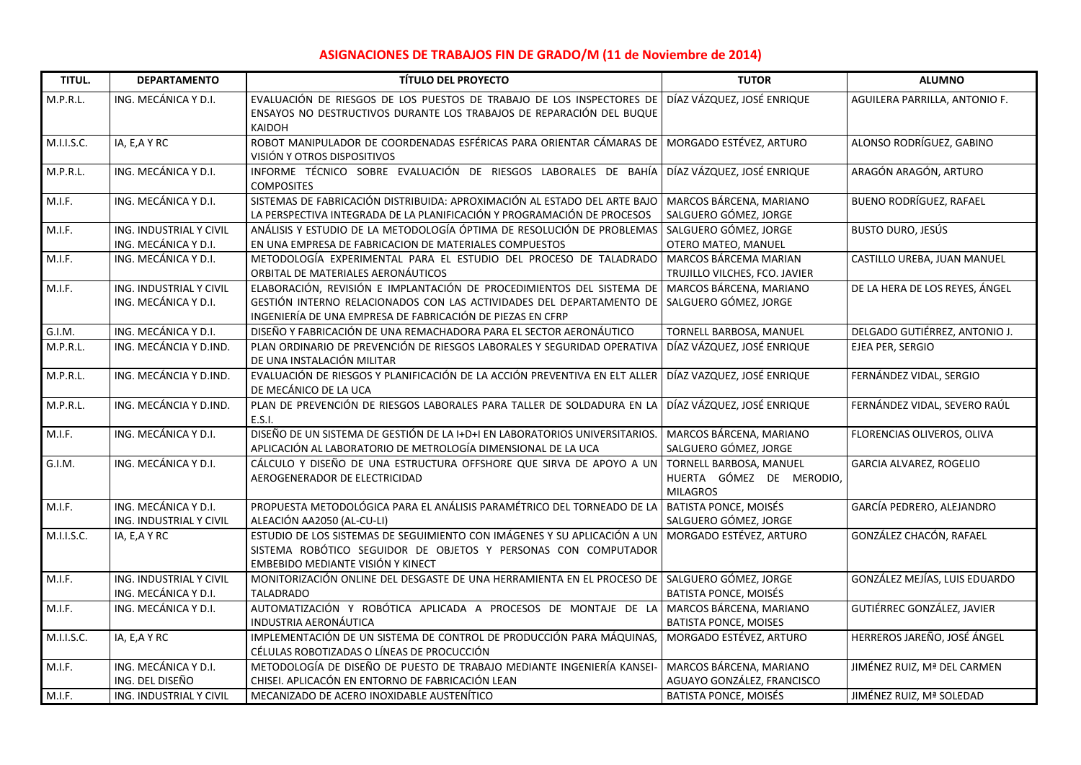## **ASIGNACIONES DE TRABAJOS FIN DE GRADO/M (11 de Noviembre de 2014)**

| TITUL.              | <b>DEPARTAMENTO</b>                             | <b>TÍTULO DEL PROYECTO</b>                                                                                                                                                                                  | <b>TUTOR</b>                                                           | <b>ALUMNO</b>                     |
|---------------------|-------------------------------------------------|-------------------------------------------------------------------------------------------------------------------------------------------------------------------------------------------------------------|------------------------------------------------------------------------|-----------------------------------|
| M.P.R.L.            | ING. MECÁNICA Y D.I.                            | EVALUACIÓN DE RIESGOS DE LOS PUESTOS DE TRABAJO DE LOS INSPECTORES DE<br>ENSAYOS NO DESTRUCTIVOS DURANTE LOS TRABAJOS DE REPARACIÓN DEL BUQUE<br>KAIDOH                                                     | DÍAZ VÁZQUEZ, JOSÉ ENRIQUE                                             | AGUILERA PARRILLA, ANTONIO F.     |
| M.I.I.S.C.          | IA, E, A Y RC                                   | ROBOT MANIPULADOR DE COORDENADAS ESFÉRICAS PARA ORIENTAR CÁMARAS DE<br>VISIÓN Y OTROS DISPOSITIVOS                                                                                                          | MORGADO ESTÉVEZ, ARTURO                                                | ALONSO RODRÍGUEZ, GABINO          |
| M.P.R.L.            | ING. MECÁNICA Y D.I.                            | INFORME TÉCNICO SOBRE EVALUACIÓN DE RIESGOS LABORALES DE BAHÍA<br><b>COMPOSITES</b>                                                                                                                         | DÍAZ VÁZQUEZ, JOSÉ ENRIQUE                                             | ARAGÓN ARAGÓN, ARTURO             |
| M.I.F.              | ING. MECÁNICA Y D.I.                            | SISTEMAS DE FABRICACIÓN DISTRIBUIDA: APROXIMACIÓN AL ESTADO DEL ARTE BAJO<br>LA PERSPECTIVA INTEGRADA DE LA PLANIFICACIÓN Y PROGRAMACIÓN DE PROCESOS                                                        | MARCOS BÁRCENA, MARIANO<br>SALGUERO GÓMEZ, JORGE                       | <b>BUENO RODRÍGUEZ, RAFAEL</b>    |
| M.I.F.              | ING. INDUSTRIAL Y CIVIL<br>ING. MECÁNICA Y D.I. | ANÁLISIS Y ESTUDIO DE LA METODOLOGÍA ÓPTIMA DE RESOLUCIÓN DE PROBLEMAS<br>EN UNA EMPRESA DE FABRICACION DE MATERIALES COMPUESTOS                                                                            | SALGUERO GÓMEZ, JORGE<br>OTERO MATEO, MANUEL                           | <b>BUSTO DURO, JESÚS</b>          |
| M.I.F.              | ING. MECÁNICA Y D.I.                            | METODOLOGÍA EXPERIMENTAL PARA EL ESTUDIO DEL PROCESO DE TALADRADO<br>ORBITAL DE MATERIALES AERONÁUTICOS                                                                                                     | MARCOS BÁRCEMA MARIAN<br>TRUJILLO VILCHES, FCO. JAVIER                 | CASTILLO UREBA, JUAN MANUEL       |
| M.I.F.              | ING. INDUSTRIAL Y CIVIL<br>ING. MECÁNICA Y D.I. | ELABORACIÓN, REVISIÓN E IMPLANTACIÓN DE PROCEDIMIENTOS DEL SISTEMA DE<br>GESTIÓN INTERNO RELACIONADOS CON LAS ACTIVIDADES DEL DEPARTAMENTO DE<br>INGENIERÍA DE UNA EMPRESA DE FABRICACIÓN DE PIEZAS EN CFRP | MARCOS BÁRCENA, MARIANO<br>SALGUERO GÓMEZ, JORGE                       | DE LA HERA DE LOS REYES, ÁNGEL    |
| $\overline{G.I.M.}$ | ING. MECÁNICA Y D.I.                            | DISEÑO Y FABRICACIÓN DE UNA REMACHADORA PARA EL SECTOR AERONÁUTICO                                                                                                                                          | TORNELL BARBOSA, MANUEL                                                | DELGADO GUTIÉRREZ, ANTONIO J.     |
| M.P.R.L.            | ING. MECÁNCIA Y D.IND.                          | PLAN ORDINARIO DE PREVENCIÓN DE RIESGOS LABORALES Y SEGURIDAD OPERATIVA<br>DE UNA INSTALACIÓN MILITAR                                                                                                       | DÍAZ VÁZQUEZ, JOSÉ ENRIQUE                                             | EJEA PER, SERGIO                  |
| M.P.R.L.            | ING. MECÁNCIA Y D.IND.                          | EVALUACIÓN DE RIESGOS Y PLANIFICACIÓN DE LA ACCIÓN PREVENTIVA EN ELT ALLER<br>DE MECÁNICO DE LA UCA                                                                                                         | DÍAZ VAZQUEZ, JOSÉ ENRIQUE                                             | FERNÁNDEZ VIDAL, SERGIO           |
| M.P.R.L.            | ING. MECÁNCIA Y D.IND.                          | PLAN DE PREVENCIÓN DE RIESGOS LABORALES PARA TALLER DE SOLDADURA EN LA<br>E.S.I.                                                                                                                            | DÍAZ VÁZQUEZ, JOSÉ ENRIQUE                                             | FERNÁNDEZ VIDAL, SEVERO RAÚL      |
| M.I.F.              | ING. MECÁNICA Y D.I.                            | DISEÑO DE UN SISTEMA DE GESTIÓN DE LA I+D+I EN LABORATORIOS UNIVERSITARIOS.<br>APLICACIÓN AL LABORATORIO DE METROLOGÍA DIMENSIONAL DE LA UCA                                                                | MARCOS BÁRCENA, MARIANO<br>SALGUERO GÓMEZ, JORGE                       | FLORENCIAS OLIVEROS, OLIVA        |
| G.I.M.              | ING. MECÁNICA Y D.I.                            | CÁLCULO Y DISEÑO DE UNA ESTRUCTURA OFFSHORE QUE SIRVA DE APOYO A UN<br>AEROGENERADOR DE ELECTRICIDAD                                                                                                        | TORNELL BARBOSA, MANUEL<br>HUERTA GÓMEZ DE MERODIO,<br><b>MILAGROS</b> | GARCIA ALVAREZ, ROGELIO           |
| M.I.F.              | ING. MECÁNICA Y D.I.<br>ING. INDUSTRIAL Y CIVIL | PROPUESTA METODOLÓGICA PARA EL ANÁLISIS PARAMÉTRICO DEL TORNEADO DE LA<br>ALEACIÓN AA2050 (AL-CU-LI)                                                                                                        | <b>BATISTA PONCE, MOISÉS</b><br>SALGUERO GÓMEZ, JORGE                  | GARCÍA PEDRERO, ALEJANDRO         |
| M.I.I.S.C.          | IA, E, A Y RC                                   | ESTUDIO DE LOS SISTEMAS DE SEGUIMIENTO CON IMÁGENES Y SU APLICACIÓN A UN<br>SISTEMA ROBÓTICO SEGUIDOR DE OBJETOS Y PERSONAS CON COMPUTADOR<br>EMBEBIDO MEDIANTE VISIÓN Y KINECT                             | MORGADO ESTÉVEZ, ARTURO                                                | GONZÁLEZ CHACÓN, RAFAEL           |
| M.I.F.              | ING. INDUSTRIAL Y CIVIL<br>ING. MECÁNICA Y D.I. | MONITORIZACIÓN ONLINE DEL DESGASTE DE UNA HERRAMIENTA EN EL PROCESO DE<br><b>TALADRADO</b>                                                                                                                  | SALGUERO GÓMEZ, JORGE<br>BATISTA PONCE, MOISÉS                         | GONZÁLEZ MEJÍAS, LUIS EDUARDO     |
| M.I.F.              | ING. MECÁNICA Y D.I.                            | AUTOMATIZACIÓN Y ROBÓTICA APLICADA A PROCESOS DE MONTAJE DE LA<br>INDUSTRIA AERONÁUTICA                                                                                                                     | MARCOS BÁRCENA, MARIANO<br><b>BATISTA PONCE, MOISES</b>                | <b>GUTIÉRREC GONZÁLEZ, JAVIER</b> |
| M.I.I.S.C.          | IA, E, A Y RC                                   | IMPLEMENTACIÓN DE UN SISTEMA DE CONTROL DE PRODUCCIÓN PARA MÁQUINAS,<br>CÉLULAS ROBOTIZADAS O LÍNEAS DE PROCUCCIÓN                                                                                          | MORGADO ESTÉVEZ, ARTURO                                                | HERREROS JAREÑO, JOSÉ ÁNGEL       |
| M.I.F.              | ING. MECÁNICA Y D.I.<br>ING. DEL DISEÑO         | METODOLOGÍA DE DISEÑO DE PUESTO DE TRABAJO MEDIANTE INGENIERÍA KANSEI-<br>CHISEI. APLICACÓN EN ENTORNO DE FABRICACIÓN LEAN                                                                                  | MARCOS BÁRCENA, MARIANO<br>AGUAYO GONZÁLEZ, FRANCISCO                  | JIMÉNEZ RUIZ, Mª DEL CARMEN       |
| M.I.F.              | ING. INDUSTRIAL Y CIVIL                         | MECANIZADO DE ACERO INOXIDABLE AUSTENÍTICO                                                                                                                                                                  | BATISTA PONCE, MOISÉS                                                  | JIMÉNEZ RUIZ, Mª SOLEDAD          |